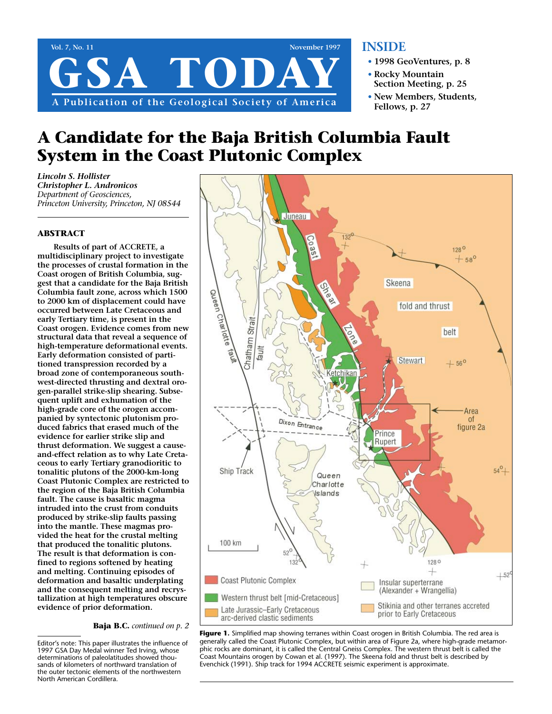

## **INSIDE**

- **• 1998 GeoVentures, p. 8**
- **• Rocky Mountain Section Meeting, p. 25**
- **• New Members, Students, Fellows, p. 27**

# **A Candidate for the Baja British Columbia Fault System in the Coast Plutonic Complex**

*Lincoln S. Hollister Christopher L. Andronicos Department of Geosciences, Princeton University, Princeton, NJ 08544*

#### **ABSTRACT**

**Results of part of ACCRETE, a multidisciplinary project to investigate the processes of crustal formation in the Coast orogen of British Columbia, suggest that a candidate for the Baja British Columbia fault zone, across which 1500 to 2000 km of displacement could have occurred between Late Cretaceous and early Tertiary time, is present in the Coast orogen. Evidence comes from new structural data that reveal a sequence of high-temperature deformational events. Early deformation consisted of partitioned transpression recorded by a broad zone of contemporaneous southwest-directed thrusting and dextral orogen-parallel strike-slip shearing. Subsequent uplift and exhumation of the high-grade core of the orogen accompanied by syntectonic plutonism produced fabrics that erased much of the evidence for earlier strike slip and thrust deformation. We suggest a causeand-effect relation as to why Late Cretaceous to early Tertiary granodioritic to tonalitic plutons of the 2000-km-long Coast Plutonic Complex are restricted to the region of the Baja British Columbia fault. The cause is basaltic magma intruded into the crust from conduits produced by strike-slip faults passing into the mantle. These magmas provided the heat for the crustal melting that produced the tonalitic plutons. The result is that deformation is confined to regions softened by heating and melting. Continuing episodes of deformation and basaltic underplating and the consequent melting and recrystallization at high temperatures obscure evidence of prior deformation.**

**Baja B.C.** *continued on p. 2*

Editor's note: This paper illustrates the influence of 1997 GSA Day Medal winner Ted Irving, whose determinations of paleolatitudes showed thousands of kilometers of northward translation of the outer tectonic elements of the northwestern North American Cordillera.



**Figure 1.** Simplified map showing terranes within Coast orogen in British Columbia. The red area is generally called the Coast Plutonic Complex, but within area of Figure 2a, where high-grade metamorphic rocks are dominant, it is called the Central Gneiss Complex. The western thrust belt is called the Coast Mountains orogen by Cowan et al. (1997). The Skeena fold and thrust belt is described by Evenchick (1991). Ship track for 1994 ACCRETE seismic experiment is approximate.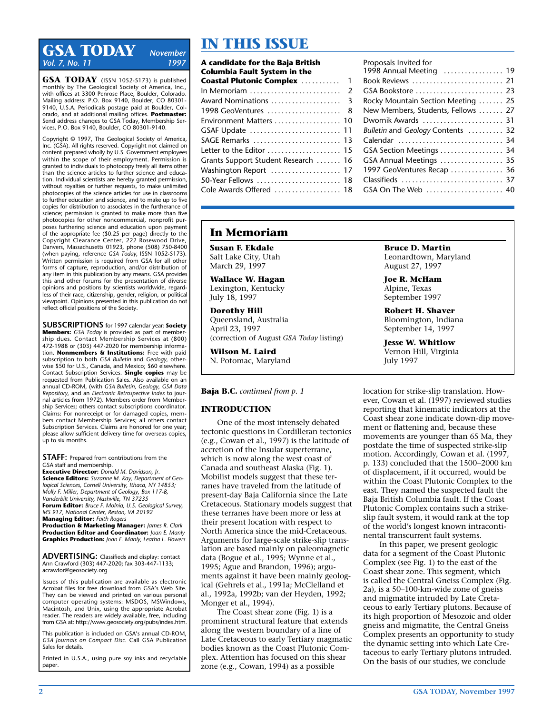# **IN THIS ISSUE**<br>Vol. 7 No. 11 **ISSUE** *Vol. 7, No. 11*

**GSA TODAY** (ISSN 1052-5173) is published monthly by The Geological Society of America, Inc., with offices at 3300 Penrose Place, Boulder, Colorado. Mailing address: P.O. Box 9140, Boulder, CO 80301- 9140, U.S.A. Periodicals postage paid at Boulder, Colorado, and at additional mailing offices. **Postmaster:** Send address changes to GSA Today, Membership Services, P.O. Box 9140, Boulder, CO 80301-9140.

Copyright © 1997, The Geological Society of America, Inc. (GSA). All rights reserved. Copyright not claimed on content prepared wholly by U.S. Government employees within the scope of their employment. Permission is granted to individuals to photocopy freely all items other than the science articles to further science and education. Individual scientists are hereby granted permission, without royalties or further requests, to make unlimited photocopies of the science articles for use in classrooms to further education and science, and to make up to five copies for distribution to associates in the furtherance of science; permission is granted to make more than five photocopies for other noncommercial, nonprofit purposes furthering science and education upon payment of the appropriate fee (\$0.25 per page) directly to the Copyright Clearance Center, 222 Rosewood Drive, Danvers, Massachusetts 01923, phone (508) 750-8400 (when paying, reference *GSA Today,* ISSN 1052-5173). Written permission is required from GSA for all other forms of capture, reproduction, and/or distribution of any item in this publication by any means. GSA provides this and other forums for the presentation of diverse opinions and positions by scientists worldwide, regardless of their race, citizenship, gender, religion, or political viewpoint. Opinions presented in this publication do not reflect official positions of the Society.

**SUBSCRIPTIONS** for 1997 calendar year: **Society Members:** *GSA Today* is provided as part of membership dues. Contact Membership Services at (800) 472-1988 or (303) 447-2020 for membership information. **Nonmembers & Institutions:** Free with paid subscription to both *GSA Bulletin* and *Geology,* otherwise \$50 for U.S., Canada, and Mexico; \$60 elsewhere. Contact Subscription Services. **Single copies** may be requested from Publication Sales. Also available on an annual CD-ROM, (with *GSA Bulletin, Geology, GSA Data Repository,* and an *Electronic Retrospective Index* to journal articles from 1972). Members order from Membership Services; others contact subscriptions coordinator. Claims: For nonreceipt or for damaged copies, members contact Membership Services; all others contact Subscription Services. Claims are honored for one year; please allow sufficient delivery time for overseas copies, up to six months.

**STAFF:** Prepared from contributions from the GSA staff and membership. **Executive Director:** *Donald M. Davidson, Jr.*

**Science Editors:** *Suzanne M. Kay, Department of Geological Sciences, Cornell University, Ithaca, NY 14853; Molly F. Miller, Department of Geology, Box 117-B, Vanderbilt University, Nashville, TN 37235* **Forum Editor:** *Bruce F. Molnia, U.S. Geological Survey, MS 917, National Center, Reston, VA 20192* **Managing Editor:** *Faith Rogers*

**Production & Marketing Manager:** *James R. Clark* **Production Editor and Coordinator:** *Joan E. Manly* **Graphics Production:** *Joan E. Manly, Leatha L. Flowers*

**ADVERTISING:** Classifieds and display: contact Ann Crawford (303) 447-2020; fax 303-447-1133; acrawfor@geosociety.org

Issues of this publication are available as electronic Acrobat files for free download from GSA's Web Site. They can be viewed and printed on various personal computer operating systems: MSDOS, MSWindows, Macintosh, and Unix, using the appropriate Acrobat reader. The readers are widely available, free, including from GSA at: http://www.geosociety.org/pubs/index.htm.

This publication is included on GSA's annual CD-ROM, *GSA Journals on Compact Disc.* Call GSA Publication Sales for details.

Printed in U.S.A., using pure soy inks and recyclable paper.

| A candidate for the Baja British<br><b>Columbia Fault System in the</b> |  |
|-------------------------------------------------------------------------|--|
| <b>Coastal Plutonic Complex  1</b>                                      |  |
|                                                                         |  |
|                                                                         |  |
| 1998 GeoVentures  8                                                     |  |
| Environment Matters  10                                                 |  |
| GSAF Update  11                                                         |  |
| SAGE Remarks  13                                                        |  |
| Letter to the Editor  15                                                |  |
| Grants Support Student Research  16                                     |  |
| Washington Report  17                                                   |  |
| 50-Year Fellows  18                                                     |  |
| Cole Awards Offered  18                                                 |  |

### Proposals Invited for 1998 Annual Meeting . . . . . . . . . . . . . . . . . 19 Book Reviews . . . . . . . . . . . . . . . . . . . . . . . . . . 21 GSA Bookstore . . . . . . . . . . . . . . . . . . . . . . . . . 23 Rocky Mountain Section Meeting ....... 25 New Members, Students, Fellows . . . . . . . 27 Dwornik Awards . . . . . . . . . . . . . . . . . . . . . . . 31 *Bulletin* and *Geology* Contents . . . . . . . . . . 32 Calendar . . . . . . . . . . . . . . . . . . . . . . . . . . . . . . 34 GSA Section Meetings . . . . . . . . . . . . . . . . . . 34 GSA Annual Meetings . . . . . . . . . . . . . . . . . . 35 1997 GeoVentures Recap . . . . . . . . . . . . . . . 36 Classifieds . . . . . . . . . . . . . . . . . . . . . . . . . . . . . 37 GSA On The Web ....................... 40

# **In Memoriam**

**Susan F. Ekdale**  Salt Lake City, Utah March 29, 1997

**Wallace W. Hagan** Lexington, Kentucky July 18, 1997

**Dorothy Hill** Queensland, Australia April 23, 1997 (correction of August *GSA Today* listing)

**Wilson M. Laird** N. Potomac, Maryland

#### **Baja B.C.** *continued from p. 1*

#### **INTRODUCTION**

One of the most intensely debated tectonic questions in Cordilleran tectonics (e.g., Cowan et al., 1997) is the latitude of accretion of the Insular superterrane, which is now along the west coast of Canada and southeast Alaska (Fig. 1). Mobilist models suggest that these terranes have traveled from the latitude of present-day Baja California since the Late Cretaceous. Stationary models suggest that these terranes have been more or less at their present location with respect to North America since the mid-Cretaceous. Arguments for large-scale strike-slip translation are based mainly on paleomagnetic data (Bogue et al., 1995; Wynne et al., 1995; Ague and Brandon, 1996); arguments against it have been mainly geological (Gehrels et al., 1991a; McClelland et al., 1992a, 1992b; van der Heyden, 1992; Monger et al., 1994).

The Coast shear zone (Fig. 1) is a prominent structural feature that extends along the western boundary of a line of Late Cretaceous to early Tertiary magmatic bodies known as the Coast Plutonic Complex. Attention has focused on this shear zone (e.g., Cowan, 1994) as a possible

**Bruce D. Martin** Leonardtown, Maryland August 27, 1997

**Joe R. McHam** Alpine, Texas September 1997

**Robert H. Shaver** Bloomington, Indiana September 14, 1997

**Jesse W. Whitlow** Vernon Hill, Virginia July 1997

location for strike-slip translation. However, Cowan et al. (1997) reviewed studies reporting that kinematic indicators at the Coast shear zone indicate down-dip movement or flattening and, because these movements are younger than 65 Ma, they postdate the time of suspected strike-slip motion. Accordingly, Cowan et al. (1997, p. 133) concluded that the 1500–2000 km of displacement, if it occurred, would be within the Coast Plutonic Complex to the east. They named the suspected fault the Baja British Columbia fault. If the Coast Plutonic Complex contains such a strikeslip fault system, it would rank at the top of the world's longest known intracontinental transcurrent fault systems.

In this paper, we present geologic data for a segment of the Coast Plutonic Complex (see Fig. 1) to the east of the Coast shear zone. This segment, which is called the Central Gneiss Complex (Fig. 2a), is a 50–100-km-wide zone of gneiss and migmatite intruded by Late Cretaceous to early Tertiary plutons. Because of its high proportion of Mesozoic and older gneiss and migmatite, the Central Gneiss Complex presents an opportunity to study the dynamic setting into which Late Cretaceous to early Tertiary plutons intruded. On the basis of our studies, we conclude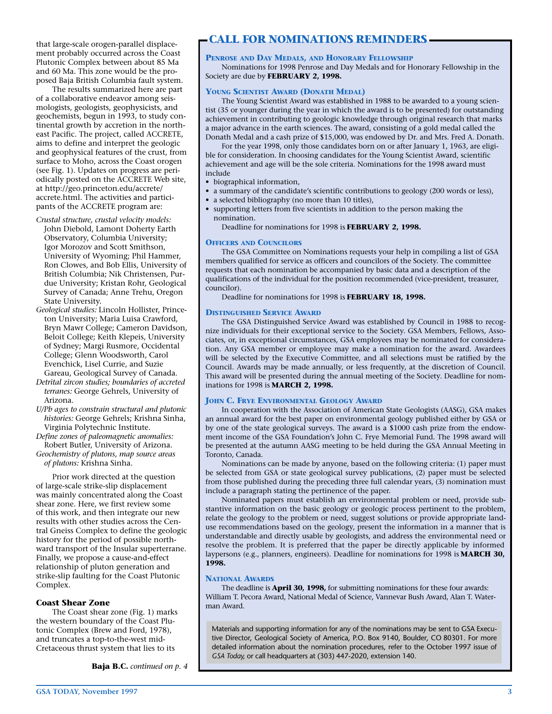that large-scale orogen-parallel displacement probably occurred across the Coast Plutonic Complex between about 85 Ma and 60 Ma. This zone would be the proposed Baja British Columbia fault system.

The results summarized here are part of a collaborative endeavor among seismologists, geologists, geophysicists, and geochemists, begun in 1993, to study continental growth by accretion in the northeast Pacific. The project, called ACCRETE, aims to define and interpret the geologic and geophysical features of the crust, from surface to Moho, across the Coast orogen (see Fig. 1). Updates on progress are periodically posted on the ACCRETE Web site, at http://geo.princeton.edu/accrete/ accrete.html. The activities and participants of the ACCRETE program are:

- *Crustal structure, crustal velocity models:* John Diebold, Lamont Doherty Earth Observatory, Columbia University; Igor Morozov and Scott Smithson, University of Wyoming; Phil Hammer, Ron Clowes, and Bob Ellis, University of British Columbia; Nik Christensen, Purdue University; Kristan Rohr, Geological Survey of Canada; Anne Trehu, Oregon State University.
- *Geological studies:* Lincoln Hollister, Princeton University; Maria Luisa Crawford, Bryn Mawr College; Cameron Davidson, Beloit College; Keith Klepeis, University of Sydney; Margi Rusmore, Occidental College; Glenn Woodsworth, Carol Evenchick, Lisel Currie, and Suzie
- Gareau, Geological Survey of Canada. *Detrital zircon studies; boundaries of accreted terranes:* George Gehrels, University of Arizona.
- *U/Pb ages to constrain structural and plutonic histories:* George Gehrels; Krishna Sinha, Virginia Polytechnic Institute.
- *Define zones of paleomagnetic anomalies:* Robert Butler, University of Arizona. *Geochemistry of plutons, map source areas*
- *of plutons:* Krishna Sinha.

Prior work directed at the question of large-scale strike-slip displacement was mainly concentrated along the Coast shear zone. Here, we first review some of this work, and then integrate our new results with other studies across the Central Gneiss Complex to define the geologic history for the period of possible northward transport of the Insular superterrane. Finally, we propose a cause-and-effect relationship of pluton generation and strike-slip faulting for the Coast Plutonic Complex.

#### **Coast Shear Zone**

The Coast shear zone (Fig. 1) marks the western boundary of the Coast Plutonic Complex (Brew and Ford, 1978), and truncates a top-to-the-west mid-Cretaceous thrust system that lies to its

**Baja B.C.** *continued on p. 4*

# **CALL FOR NOMINATIONS REMINDERS**

#### **PENROSE AND DAY MEDALS, AND HONORARY FELLOWSHIP**

Nominations for 1998 Penrose and Day Medals and for Honorary Fellowship in the Society are due by **FEBRUARY 2, 1998.**

#### **YOUNG SCIENTIST AWARD (DONATH MEDAL)**

The Young Scientist Award was established in 1988 to be awarded to a young scientist (35 or younger during the year in which the award is to be presented) for outstanding achievement in contributing to geologic knowledge through original research that marks a major advance in the earth sciences. The award, consisting of a gold medal called the Donath Medal and a cash prize of \$15,000, was endowed by Dr. and Mrs. Fred A. Donath.

For the year 1998, only those candidates born on or after January 1, 1963, are eligible for consideration. In choosing candidates for the Young Scientist Award, scientific achievement and age will be the sole criteria. Nominations for the 1998 award must include

- biographical information,
- a summary of the candidate's scientific contributions to geology (200 words or less),
- a selected bibliography (no more than 10 titles),
- supporting letters from five scientists in addition to the person making the nomination.

Deadline for nominations for 1998 is **FEBRUARY 2, 1998.** 

#### **OFFICERS AND COUNCILORS**

The GSA Committee on Nominations requests your help in compiling a list of GSA members qualified for service as officers and councilors of the Society. The committee requests that each nomination be accompanied by basic data and a description of the qualifications of the individual for the position recommended (vice-president, treasurer, councilor).

Deadline for nominations for 1998 is **FEBRUARY 18, 1998.** 

#### **DISTINGUISHED SERVICE AWARD**

The GSA Distinguished Service Award was established by Council in 1988 to recognize individuals for their exceptional service to the Society. GSA Members, Fellows, Associates, or, in exceptional circumstances, GSA employees may be nominated for consideration. Any GSA member or employee may make a nomination for the award. Awardees will be selected by the Executive Committee, and all selections must be ratified by the Council. Awards may be made annually, or less frequently, at the discretion of Council. This award will be presented during the annual meeting of the Society. Deadline for nominations for 1998 is **MARCH 2, 1998.**

#### **JOHN C. FRYE ENVIRONMENTAL GEOLOGY AWARD**

In cooperation with the Association of American State Geologists (AASG), GSA makes an annual award for the best paper on environmental geology published either by GSA or by one of the state geological surveys. The award is a \$1000 cash prize from the endowment income of the GSA Foundation's John C. Frye Memorial Fund. The 1998 award will be presented at the autumn AASG meeting to be held during the GSA Annual Meeting in Toronto, Canada.

Nominations can be made by anyone, based on the following criteria: (1) paper must be selected from GSA or state geological survey publications, (2) paper must be selected from those published during the preceding three full calendar years, (3) nomination must include a paragraph stating the pertinence of the paper.

Nominated papers must establish an environmental problem or need, provide substantive information on the basic geology or geologic process pertinent to the problem, relate the geology to the problem or need, suggest solutions or provide appropriate landuse recommendations based on the geology, present the information in a manner that is understandable and directly usable by geologists, and address the environmental need or resolve the problem. It is preferred that the paper be directly applicable by informed laypersons (e.g., planners, engineers). Deadline for nominations for 1998 is **MARCH 30, 1998.**

#### **NATIONAL AWARDS**

The deadline is **April 30, 1998,** for submitting nominations for these four awards: William T. Pecora Award, National Medal of Science, Vannevar Bush Award, Alan T. Waterman Award.

Materials and supporting information for any of the nominations may be sent to GSA Executive Director, Geological Society of America, P.O. Box 9140, Boulder, CO 80301. For more detailed information about the nomination procedures, refer to the October 1997 issue of *GSA Today,* or call headquarters at (303) 447-2020, extension 140.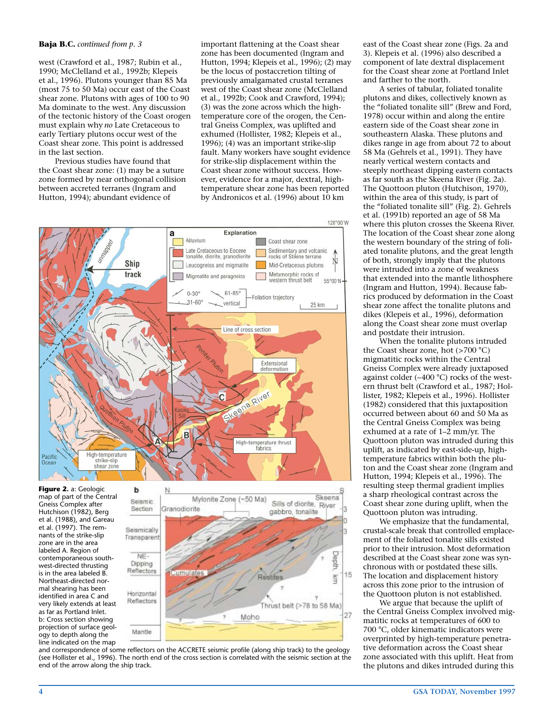#### **Baja B.C.** *continued from p. 3*

west (Crawford et al., 1987; Rubin et al., 1990; McClelland et al., 1992b; Klepeis et al., 1996). Plutons younger than 85 Ma (most 75 to 50 Ma) occur east of the Coast shear zone. Plutons with ages of 100 to 90 Ma dominate to the west. Any discussion of the tectonic history of the Coast orogen must explain why *no* Late Cretaceous to early Tertiary plutons occur west of the Coast shear zone. This point is addressed in the last section.

Previous studies have found that the Coast shear zone: (1) may be a suture zone formed by near orthogonal collision between accreted terranes (Ingram and Hutton, 1994); abundant evidence of

important flattening at the Coast shear zone has been documented (Ingram and Hutton, 1994; Klepeis et al., 1996); (2) may be the locus of postaccretion tilting of previously amalgamated crustal terranes west of the Coast shear zone (McClelland et al., 1992b; Cook and Crawford, 1994); (3) was the zone across which the hightemperature core of the orogen, the Central Gneiss Complex, was uplifted and exhumed (Hollister, 1982; Klepeis et al., 1996); (4) was an important strike-slip fault. Many workers have sought evidence for strike-slip displacement within the Coast shear zone without success. However, evidence for a major, dextral, hightemperature shear zone has been reported by Andronicos et al. (1996) about 10 km



**Figure 2.** a: Geologic map of part of the Central Gneiss Complex after Hutchison (1982), Berg et al. (1988), and Gareau et al. (1997). The remnants of the strike-slip zone are in the area labeled A. Region of contemporaneous southwest-directed thrusting is in the area labeled B. Northeast-directed normal shearing has been identified in area C and very likely extends at least as far as Portland Inlet. b: Cross section showing projection of surface geology to depth along the line indicated on the map

ь



and correspondence of some reflectors on the ACCRETE seismic profile (along ship track) to the geology (see Hollister et al., 1996). The north end of the cross section is correlated with the seismic section at the end of the arrow along the ship track.

east of the Coast shear zone (Figs. 2a and 3). Klepeis et al. (1996) also described a component of late dextral displacement for the Coast shear zone at Portland Inlet and farther to the north.

A series of tabular, foliated tonalite plutons and dikes, collectively known as the "foliated tonalite sill" (Brew and Ford, 1978) occur within and along the entire eastern side of the Coast shear zone in southeastern Alaska. These plutons and dikes range in age from about 72 to about 58 Ma (Gehrels et al., 1991). They have nearly vertical western contacts and steeply northeast dipping eastern contacts as far south as the Skeena River (Fig. 2a). The Quottoon pluton (Hutchison, 1970), within the area of this study, is part of the "foliated tonalite sill" (Fig. 2). Gehrels et al. (1991b) reported an age of 58 Ma where this pluton crosses the Skeena River. The location of the Coast shear zone along the western boundary of the string of foliated tonalite plutons, and the great length of both, strongly imply that the plutons were intruded into a zone of weakness that extended into the mantle lithosphere (Ingram and Hutton, 1994). Because fabrics produced by deformation in the Coast shear zone affect the tonalite plutons and dikes (Klepeis et al., 1996), deformation along the Coast shear zone must overlap and postdate their intrusion.

When the tonalite plutons intruded the Coast shear zone, hot (>700 °C) migmatitic rocks within the Central Gneiss Complex were already juxtaposed against colder (~400 °C) rocks of the western thrust belt (Crawford et al., 1987; Hollister, 1982; Klepeis et al., 1996). Hollister (1982) considered that this juxtaposition occurred between about 60 and 50 Ma as the Central Gneiss Complex was being exhumed at a rate of  $1-\overline{2}$  mm/yr. The Quottoon pluton was intruded during this uplift, as indicated by east-side-up, hightemperature fabrics within both the pluton and the Coast shear zone (Ingram and Hutton, 1994; Klepeis et al., 1996). The resulting steep thermal gradient implies a sharp rheological contrast across the Coast shear zone during uplift, when the Quottoon pluton was intruding.

We emphasize that the fundamental, crustal-scale break that controlled emplacement of the foliated tonalite sills existed prior to their intrusion. Most deformation described at the Coast shear zone was synchronous with or postdated these sills. The location and displacement history across this zone prior to the intrusion of the Quottoon pluton is not established.

We argue that because the uplift of the Central Gneiss Complex involved migmatitic rocks at temperatures of 600 to 700 °C, older kinematic indicators were overprinted by high-temperature penetrative deformation across the Coast shear zone associated with this uplift. Heat from the plutons and dikes intruded during this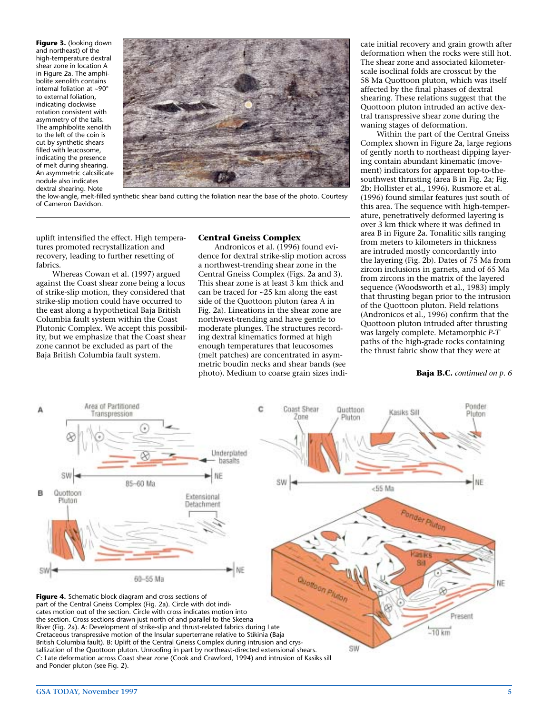**Figure 3.** (looking down and northeast) of the high-temperature dextral shear zone in location A in Figure 2a. The amphibolite xenolith contains internal foliation at ~90° to external foliation, indicating clockwise rotation consistent with asymmetry of the tails. The amphibolite xenolith to the left of the coin is cut by synthetic shears filled with leucosome, indicating the presence of melt during shearing. An asymmetric calcsilicate nodule also indicates dextral shearing. Note



the low-angle, melt-filled synthetic shear band cutting the foliation near the base of the photo. Courtesy of Cameron Davidson.

uplift intensified the effect. High temperatures promoted recrystallization and recovery, leading to further resetting of fabrics.

Whereas Cowan et al. (1997) argued against the Coast shear zone being a locus of strike-slip motion, they considered that strike-slip motion could have occurred to the east along a hypothetical Baja British Columbia fault system within the Coast Plutonic Complex. We accept this possibility, but we emphasize that the Coast shear zone cannot be excluded as part of the Baja British Columbia fault system.

#### **Central Gneiss Complex**

Andronicos et al. (1996) found evidence for dextral strike-slip motion across a northwest-trending shear zone in the Central Gneiss Complex (Figs. 2a and 3). This shear zone is at least 3 km thick and can be traced for ~25 km along the east side of the Quottoon pluton (area A in Fig. 2a). Lineations in the shear zone are northwest-trending and have gentle to moderate plunges. The structures recording dextral kinematics formed at high enough temperatures that leucosomes (melt patches) are concentrated in asymmetric boudin necks and shear bands (see photo). Medium to coarse grain sizes indicate initial recovery and grain growth after deformation when the rocks were still hot. The shear zone and associated kilometerscale isoclinal folds are crosscut by the 58 Ma Quottoon pluton, which was itself affected by the final phases of dextral shearing. These relations suggest that the Quottoon pluton intruded an active dextral transpressive shear zone during the waning stages of deformation.

Within the part of the Central Gneiss Complex shown in Figure 2a, large regions of gently north to northeast dipping layering contain abundant kinematic (movement) indicators for apparent top-to-thesouthwest thrusting (area B in Fig. 2a; Fig. 2b; Hollister et al., 1996). Rusmore et al. (1996) found similar features just south of this area. The sequence with high-temperature, penetratively deformed layering is over 3 km thick where it was defined in area B in Figure 2a. Tonalitic sills ranging from meters to kilometers in thickness are intruded mostly concordantly into the layering (Fig. 2b). Dates of 75 Ma from zircon inclusions in garnets, and of 65 Ma from zircons in the matrix of the layered sequence (Woodsworth et al., 1983) imply that thrusting began prior to the intrusion of the Quottoon pluton. Field relations (Andronicos et al., 1996) confirm that the Quottoon pluton intruded after thrusting was largely complete. Metamorphic *P-T* paths of the high-grade rocks containing the thrust fabric show that they were at

#### **Baja B.C.** *continued on p. 6*



tallization of the Quottoon pluton. Unroofing in part by northeast-directed extensional shears. C: Late deformation across Coast shear zone (Cook and Crawford, 1994) and intrusion of Kasiks sill and Ponder pluton (see Fig. 2).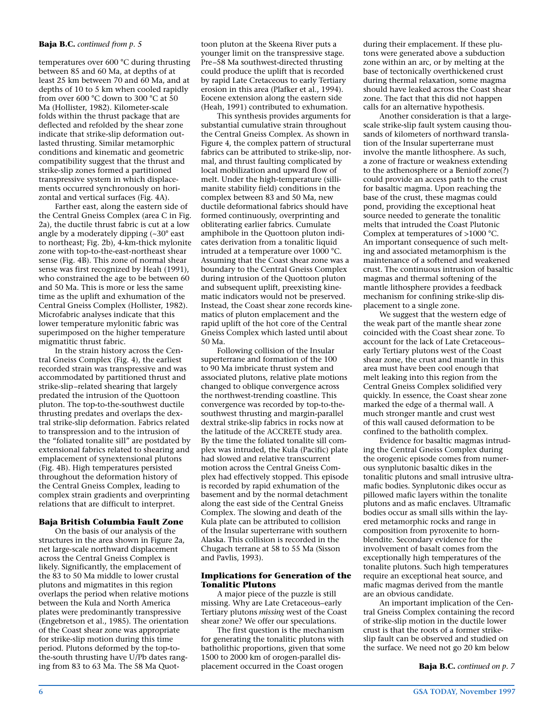#### **Baja B.C.** *continued from p. 5*

temperatures over 600 °C during thrusting between 85 and 60 Ma, at depths of at least 25 km between 70 and 60 Ma, and at depths of 10 to 5 km when cooled rapidly from over 600 °C down to 300 °C at 50 Ma (Hollister, 1982). Kilometer-scale folds within the thrust package that are deflected and refolded by the shear zone indicate that strike-slip deformation outlasted thrusting. Similar metamorphic conditions and kinematic and geometric compatibility suggest that the thrust and strike-slip zones formed a partitioned transpressive system in which displacements occurred synchronously on horizontal and vertical surfaces (Fig. 4A).

Farther east, along the eastern side of the Central Gneiss Complex (area C in Fig. 2a), the ductile thrust fabric is cut at a low angle by a moderately dipping (~30° east to northeast; Fig. 2b), 4-km-thick mylonite zone with top-to-the-east-northeast shear sense (Fig. 4B). This zone of normal shear sense was first recognized by Heah (1991), who constrained the age to be between 60 and 50 Ma. This is more or less the same time as the uplift and exhumation of the Central Gneiss Complex (Hollister, 1982). Microfabric analyses indicate that this lower temperature mylonitic fabric was superimposed on the higher temperature migmatitic thrust fabric.

In the strain history across the Central Gneiss Complex (Fig. 4), the earliest recorded strain was transpressive and was accommodated by partitioned thrust and strike-slip–related shearing that largely predated the intrusion of the Quottoon pluton. The top-to-the-southwest ductile thrusting predates and overlaps the dextral strike-slip deformation. Fabrics related to transpression and to the intrusion of the "foliated tonalite sill" are postdated by extensional fabrics related to shearing and emplacement of synextensional plutons (Fig. 4B). High temperatures persisted throughout the deformation history of the Central Gneiss Complex, leading to complex strain gradients and overprinting relations that are difficult to interpret.

#### **Baja British Columbia Fault Zone**

On the basis of our analysis of the structures in the area shown in Figure 2a, net large-scale northward displacement across the Central Gneiss Complex is likely. Significantly, the emplacement of the 83 to 50 Ma middle to lower crustal plutons and migmatites in this region overlaps the period when relative motions between the Kula and North America plates were predominantly transpressive (Engebretson et al., 1985). The orientation of the Coast shear zone was appropriate for strike-slip motion during this time period. Plutons deformed by the top-tothe-south thrusting have U/Pb dates ranging from 83 to 63 Ma. The 58 Ma Quottoon pluton at the Skeena River puts a younger limit on the transpressive stage. Pre–58 Ma southwest-directed thrusting could produce the uplift that is recorded by rapid Late Cretaceous to early Tertiary erosion in this area (Plafker et al., 1994). Eocene extension along the eastern side (Heah, 1991) contributed to exhumation.

This synthesis provides arguments for substantial cumulative strain throughout the Central Gneiss Complex. As shown in Figure 4, the complex pattern of structural fabrics can be attributed to strike-slip, normal, and thrust faulting complicated by local mobilization and upward flow of melt. Under the high-temperature (sillimanite stability field) conditions in the complex between 83 and 50 Ma, new ductile deformational fabrics should have formed continuously, overprinting and obliterating earlier fabrics. Cumulate amphibole in the Quottoon pluton indicates derivation from a tonalitic liquid intruded at a temperature over 1000 °C. Assuming that the Coast shear zone was a boundary to the Central Gneiss Complex during intrusion of the Quottoon pluton and subsequent uplift, preexisting kinematic indicators would not be preserved. Instead, the Coast shear zone records kinematics of pluton emplacement and the rapid uplift of the hot core of the Central Gneiss Complex which lasted until about 50 Ma.

Following collision of the Insular superterrane and formation of the 100 to 90 Ma imbricate thrust system and associated plutons, relative plate motions changed to oblique convergence across the northwest-trending coastline. This convergence was recorded by top-to-thesouthwest thrusting and margin-parallel dextral strike-slip fabrics in rocks now at the latitude of the ACCRETE study area. By the time the foliated tonalite sill complex was intruded, the Kula (Pacific) plate had slowed and relative transcurrent motion across the Central Gneiss Complex had effectively stopped. This episode is recorded by rapid exhumation of the basement and by the normal detachment along the east side of the Central Gneiss Complex. The slowing and death of the Kula plate can be attributed to collision of the Insular superterrane with southern Alaska. This collision is recorded in the Chugach terrane at 58 to 55 Ma (Sisson and Pavlis, 1993).

#### **Implications for Generation of the Tonalitic Plutons**

A major piece of the puzzle is still missing. Why are Late Cretaceous–early Tertiary plutons *missing* west of the Coast shear zone? We offer our speculations.

The first question is the mechanism for generating the tonalitic plutons with batholithic proportions, given that some 1500 to 2000 km of orogen-parallel displacement occurred in the Coast orogen

during their emplacement. If these plutons were generated above a subduction zone within an arc, or by melting at the base of tectonically overthickened crust during thermal relaxation, some magma should have leaked across the Coast shear zone. The fact that this did not happen calls for an alternative hypothesis.

Another consideration is that a largescale strike-slip fault system causing thousands of kilometers of northward translation of the Insular superterrane must involve the mantle lithosphere. As such, a zone of fracture or weakness extending to the asthenosphere or a Benioff zone(?) could provide an access path to the crust for basaltic magma. Upon reaching the base of the crust, these magmas could pond, providing the exceptional heat source needed to generate the tonalitic melts that intruded the Coast Plutonic Complex at temperatures of >1000 °C. An important consequence of such melting and associated metamorphism is the maintenance of a softened and weakened crust. The continuous intrusion of basaltic magmas and thermal softening of the mantle lithosphere provides a feedback mechanism for confining strike-slip displacement to a single zone.

We suggest that the western edge of the weak part of the mantle shear zone coincided with the Coast shear zone. To account for the lack of Late Cretaceous– early Tertiary plutons west of the Coast shear zone, the crust and mantle in this area must have been cool enough that melt leaking into this region from the Central Gneiss Complex solidified very quickly. In essence, the Coast shear zone marked the edge of a thermal wall. A much stronger mantle and crust west of this wall caused deformation to be confined to the batholith complex.

Evidence for basaltic magmas intruding the Central Gneiss Complex during the orogenic episode comes from numerous synplutonic basaltic dikes in the tonalitic plutons and small intrusive ultramafic bodies. Synplutonic dikes occur as pillowed mafic layers within the tonalite plutons and as mafic enclaves. Ultramafic bodies occur as small sills within the layered metamorphic rocks and range in composition from pyroxenite to hornblendite. Secondary evidence for the involvement of basalt comes from the exceptionally high temperatures of the tonalite plutons. Such high temperatures require an exceptional heat source, and mafic magmas derived from the mantle are an obvious candidate.

An important implication of the Central Gneiss Complex containing the record of strike-slip motion in the ductile lower crust is that the roots of a former strikeslip fault can be observed and studied on the surface. We need not go 20 km below

**Baja B.C.** *continued on p. 7*